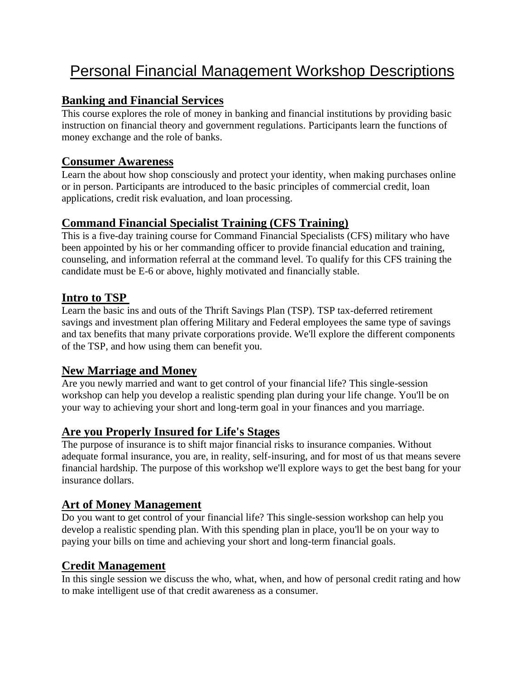# Personal Financial Management Workshop Descriptions

# **Banking and Financial Services**

This course explores the role of money in banking and financial institutions by providing basic instruction on financial theory and government regulations. Participants learn the functions of money exchange and the role of banks.

# **Consumer Awareness**

Learn the about how shop consciously and protect your identity, when making purchases online or in person. Participants are introduced to the basic principles of commercial credit, loan applications, credit risk evaluation, and loan processing.

# **Command Financial Specialist Training (CFS Training)**

This is a five-day training course for Command Financial Specialists (CFS) military who have been appointed by his or her commanding officer to provide financial education and training, counseling, and information referral at the command level. To qualify for this CFS training the candidate must be E-6 or above, highly motivated and financially stable.

## **Intro to TSP**

Learn the basic ins and outs of the Thrift Savings Plan (TSP). TSP tax-deferred retirement savings and investment plan offering Military and Federal employees the same type of savings and tax benefits that many private corporations provide. We'll explore the different components of the TSP, and how using them can benefit you.

## **New Marriage and Money**

Are you newly married and want to get control of your financial life? This single-session workshop can help you develop a realistic spending plan during your life change. You'll be on your way to achieving your short and long-term goal in your finances and you marriage.

#### **Are you Properly Insured for Life's Stages**

The purpose of insurance is to shift major financial risks to insurance companies. Without adequate formal insurance, you are, in reality, self-insuring, and for most of us that means severe financial hardship. The purpose of this workshop we'll explore ways to get the best bang for your insurance dollars.

## **Art of Money Management**

Do you want to get control of your financial life? This single-session workshop can help you develop a realistic spending plan. With this spending plan in place, you'll be on your way to paying your bills on time and achieving your short and long-term financial goals.

#### **Credit Management**

In this single session we discuss the who, what, when, and how of personal credit rating and how to make intelligent use of that credit awareness as a consumer.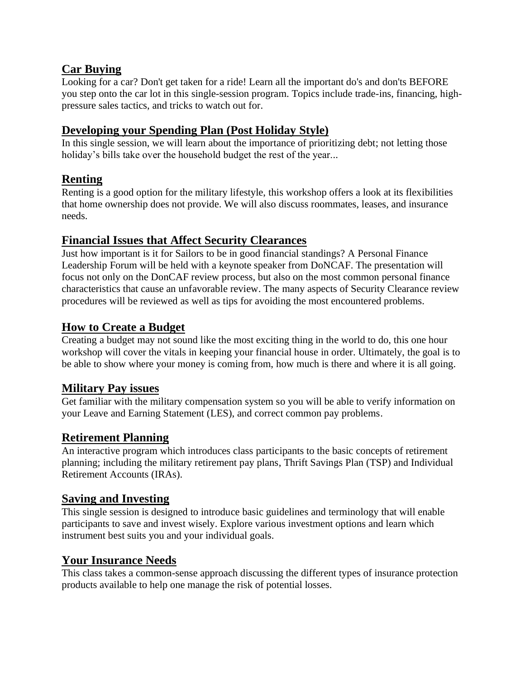## **Car Buying**

Looking for a car? Don't get taken for a ride! Learn all the important do's and don'ts BEFORE you step onto the car lot in this single-session program. Topics include trade-ins, financing, highpressure sales tactics, and tricks to watch out for.

# **Developing your Spending Plan (Post Holiday Style)**

In this single session, we will learn about the importance of prioritizing debt; not letting those holiday's bills take over the household budget the rest of the year...

# **Renting**

Renting is a good option for the military lifestyle, this workshop offers a look at its flexibilities that home ownership does not provide. We will also discuss roommates, leases, and insurance needs.

## **Financial Issues that Affect Security Clearances**

Just how important is it for Sailors to be in good financial standings? A Personal Finance Leadership Forum will be held with a keynote speaker from DoNCAF. The presentation will focus not only on the DonCAF review process, but also on the most common personal finance characteristics that cause an unfavorable review. The many aspects of Security Clearance review procedures will be reviewed as well as tips for avoiding the most encountered problems.

# **How to Create a Budget**

Creating a budget may not sound like the most exciting thing in the world to do, this one hour workshop will cover the vitals in keeping your financial house in order. Ultimately, the goal is to be able to show where your money is coming from, how much is there and where it is all going.

## **Military Pay issues**

Get familiar with the military compensation system so you will be able to verify information on your Leave and Earning Statement (LES), and correct common pay problems.

## **Retirement Planning**

An interactive program which introduces class participants to the basic concepts of retirement planning; including the military retirement pay plans, Thrift Savings Plan (TSP) and Individual Retirement Accounts (IRAs).

## **Saving and Investing**

This single session is designed to introduce basic guidelines and terminology that will enable participants to save and invest wisely. Explore various investment options and learn which instrument best suits you and your individual goals.

# **Your Insurance Needs**

This class takes a common-sense approach discussing the different types of insurance protection products available to help one manage the risk of potential losses.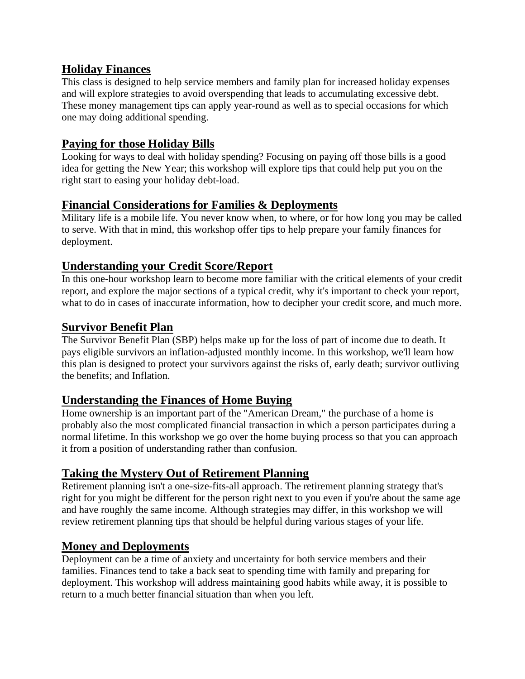#### **Holiday Finances**

This class is designed to help service members and family plan for increased holiday expenses and will explore strategies to avoid overspending that leads to accumulating excessive debt. These money management tips can apply year-round as well as to special occasions for which one may doing additional spending.

## **Paying for those Holiday Bills**

Looking for ways to deal with holiday spending? Focusing on paying off those bills is a good idea for getting the New Year; this workshop will explore tips that could help put you on the right start to easing your holiday debt-load.

## **Financial Considerations for Families & Deployments**

Military life is a mobile life. You never know when, to where, or for how long you may be called to serve. With that in mind, this workshop offer tips to help prepare your family finances for deployment.

## **Understanding your Credit Score/Report**

In this one-hour workshop learn to become more familiar with the critical elements of your credit report, and explore the major sections of a typical credit, why it's important to check your report, what to do in cases of inaccurate information, how to decipher your credit score, and much more.

## **Survivor Benefit Plan**

The Survivor Benefit Plan (SBP) helps make up for the loss of part of income due to death. It pays eligible survivors an inflation-adjusted monthly income. In this workshop, we'll learn how this plan is designed to protect your survivors against the risks of, early death; survivor outliving the benefits; and Inflation.

## **Understanding the Finances of Home Buying**

Home ownership is an important part of the "American Dream," the purchase of a home is probably also the most complicated financial transaction in which a person participates during a normal lifetime. In this workshop we go over the home buying process so that you can approach it from a position of understanding rather than confusion.

# **Taking the Mystery Out of Retirement Planning**

Retirement planning isn't a one-size-fits-all approach. The retirement planning strategy that's right for you might be different for the person right next to you even if you're about the same age and have roughly the same income. Although strategies may differ, in this workshop we will review retirement planning tips that should be helpful during various stages of your life.

## **Money and Deployments**

Deployment can be a time of anxiety and uncertainty for both service members and their families. Finances tend to take a back seat to spending time with family and preparing for deployment. This workshop will address maintaining good habits while away, it is possible to return to a much better financial situation than when you left.